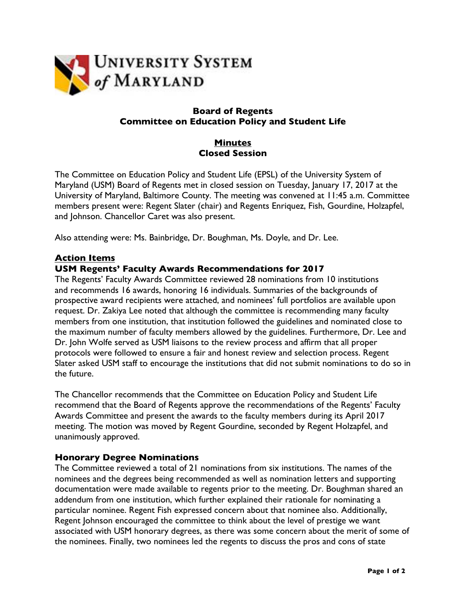

# **Board of Regents Committee on Education Policy and Student Life**

# **Minutes Closed Session**

The Committee on Education Policy and Student Life (EPSL) of the University System of Maryland (USM) Board of Regents met in closed session on Tuesday, January 17, 2017 at the University of Maryland, Baltimore County. The meeting was convened at 11:45 a.m. Committee members present were: Regent Slater (chair) and Regents Enriquez, Fish, Gourdine, Holzapfel, and Johnson. Chancellor Caret was also present.

Also attending were: Ms. Bainbridge, Dr. Boughman, Ms. Doyle, and Dr. Lee.

### **Action Items**

### **USM Regents' Faculty Awards Recommendations for 2017**

The Regents' Faculty Awards Committee reviewed 28 nominations from 10 institutions and recommends 16 awards, honoring 16 individuals. Summaries of the backgrounds of prospective award recipients were attached, and nominees' full portfolios are available upon request. Dr. Zakiya Lee noted that although the committee is recommending many faculty members from one institution, that institution followed the guidelines and nominated close to the maximum number of faculty members allowed by the guidelines. Furthermore, Dr. Lee and Dr. John Wolfe served as USM liaisons to the review process and affirm that all proper protocols were followed to ensure a fair and honest review and selection process. Regent Slater asked USM staff to encourage the institutions that did not submit nominations to do so in the future.

The Chancellor recommends that the Committee on Education Policy and Student Life recommend that the Board of Regents approve the recommendations of the Regents' Faculty Awards Committee and present the awards to the faculty members during its April 2017 meeting. The motion was moved by Regent Gourdine, seconded by Regent Holzapfel, and unanimously approved.

#### **Honorary Degree Nominations**

The Committee reviewed a total of 21 nominations from six institutions. The names of the nominees and the degrees being recommended as well as nomination letters and supporting documentation were made available to regents prior to the meeting. Dr. Boughman shared an addendum from one institution, which further explained their rationale for nominating a particular nominee. Regent Fish expressed concern about that nominee also. Additionally, Regent Johnson encouraged the committee to think about the level of prestige we want associated with USM honorary degrees, as there was some concern about the merit of some of the nominees. Finally, two nominees led the regents to discuss the pros and cons of state